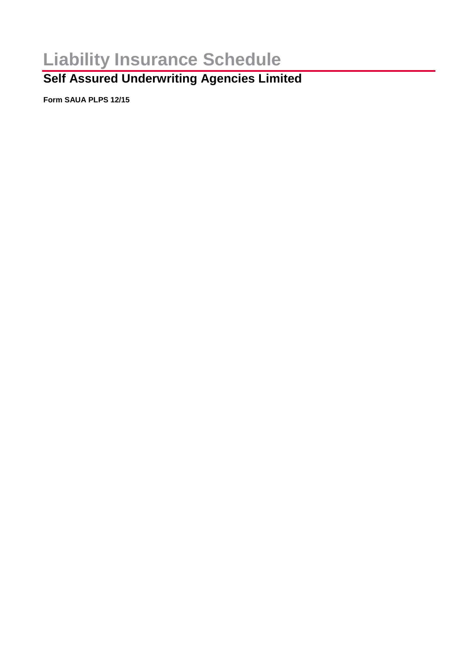# **Liability Insurance Schedule**

## **Self Assured Underwriting Agencies Limited**

**Form SAUA PLPS 12/15**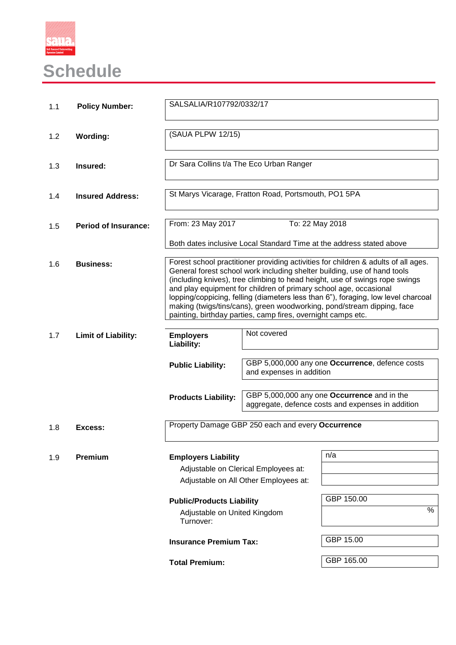

# **Schedule**

| 1.1 | <b>Policy Number:</b>       | SALSALIA/R107792/0332/17                                                                                                                                                                                                                                                                                                                                                                                                                                                                                                                          |                          |                                                                                                  |
|-----|-----------------------------|---------------------------------------------------------------------------------------------------------------------------------------------------------------------------------------------------------------------------------------------------------------------------------------------------------------------------------------------------------------------------------------------------------------------------------------------------------------------------------------------------------------------------------------------------|--------------------------|--------------------------------------------------------------------------------------------------|
| 1.2 | <b>Wording:</b>             | (SAUA PLPW 12/15)                                                                                                                                                                                                                                                                                                                                                                                                                                                                                                                                 |                          |                                                                                                  |
| 1.3 | Insured:                    | Dr Sara Collins t/a The Eco Urban Ranger                                                                                                                                                                                                                                                                                                                                                                                                                                                                                                          |                          |                                                                                                  |
| 1.4 | <b>Insured Address:</b>     | St Marys Vicarage, Fratton Road, Portsmouth, PO1 5PA                                                                                                                                                                                                                                                                                                                                                                                                                                                                                              |                          |                                                                                                  |
| 1.5 | <b>Period of Insurance:</b> | From: 23 May 2017                                                                                                                                                                                                                                                                                                                                                                                                                                                                                                                                 | To: 22 May 2018          |                                                                                                  |
|     |                             |                                                                                                                                                                                                                                                                                                                                                                                                                                                                                                                                                   |                          | Both dates inclusive Local Standard Time at the address stated above                             |
| 1.6 | <b>Business:</b>            | Forest school practitioner providing activities for children & adults of all ages.<br>General forest school work including shelter building, use of hand tools<br>(including knives), tree climbing to head height, use of swings rope swings<br>and play equipment for children of primary school age, occasional<br>lopping/coppicing, felling (diameters less than 6"), foraging, low level charcoal<br>making (twigs/tins/cans), green woodworking, pond/stream dipping, face<br>painting, birthday parties, camp fires, overnight camps etc. |                          |                                                                                                  |
| 1.7 | <b>Limit of Liability:</b>  | <b>Employers</b><br>Liability:                                                                                                                                                                                                                                                                                                                                                                                                                                                                                                                    | Not covered              |                                                                                                  |
|     |                             | <b>Public Liability:</b>                                                                                                                                                                                                                                                                                                                                                                                                                                                                                                                          | and expenses in addition | GBP 5,000,000 any one Occurrence, defence costs                                                  |
|     |                             | <b>Products Liability:</b>                                                                                                                                                                                                                                                                                                                                                                                                                                                                                                                        |                          | GBP 5,000,000 any one Occurrence and in the<br>aggregate, defence costs and expenses in addition |
| 1.8 | Excess:                     | Property Damage GBP 250 each and every Occurrence                                                                                                                                                                                                                                                                                                                                                                                                                                                                                                 |                          |                                                                                                  |
| 1.9 | Premium                     | <b>Employers Liability</b><br>Adjustable on Clerical Employees at:<br>Adjustable on All Other Employees at:                                                                                                                                                                                                                                                                                                                                                                                                                                       |                          | n/a                                                                                              |
|     |                             | <b>Public/Products Liability</b><br>Adjustable on United Kingdom<br>Turnover:                                                                                                                                                                                                                                                                                                                                                                                                                                                                     |                          | GBP 150.00<br>%                                                                                  |
|     |                             | <b>Insurance Premium Tax:</b>                                                                                                                                                                                                                                                                                                                                                                                                                                                                                                                     |                          | GBP 15.00                                                                                        |
|     |                             | <b>Total Premium:</b>                                                                                                                                                                                                                                                                                                                                                                                                                                                                                                                             |                          | GBP 165.00                                                                                       |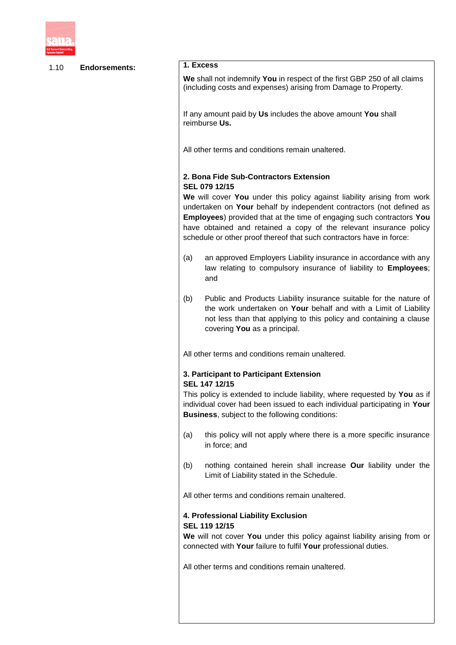

| 1.10 | <b>Endorsements:</b> | 1. Excess                                                                                                                                                                                                                                                                                                                                                                                                                                                                                                            |  |  |
|------|----------------------|----------------------------------------------------------------------------------------------------------------------------------------------------------------------------------------------------------------------------------------------------------------------------------------------------------------------------------------------------------------------------------------------------------------------------------------------------------------------------------------------------------------------|--|--|
|      |                      | We shall not indemnify You in respect of the first GBP 250 of all claims<br>(including costs and expenses) arising from Damage to Property.                                                                                                                                                                                                                                                                                                                                                                          |  |  |
|      |                      | If any amount paid by Us includes the above amount You shall<br>reimburse Us.                                                                                                                                                                                                                                                                                                                                                                                                                                        |  |  |
|      |                      | All other terms and conditions remain unaltered.                                                                                                                                                                                                                                                                                                                                                                                                                                                                     |  |  |
|      |                      | 2. Bona Fide Sub-Contractors Extension<br>SEL 079 12/15<br>We will cover You under this policy against liability arising from work<br>undertaken on Your behalf by independent contractors (not defined as<br><b>Employees</b> ) provided that at the time of engaging such contractors You<br>have obtained and retained a copy of the relevant insurance policy<br>schedule or other proof thereof that such contractors have in force:<br>an approved Employers Liability insurance in accordance with any<br>(a) |  |  |
|      |                      | law relating to compulsory insurance of liability to Employees;<br>and                                                                                                                                                                                                                                                                                                                                                                                                                                               |  |  |
|      |                      | Public and Products Liability insurance suitable for the nature of<br>(b)<br>the work undertaken on Your behalf and with a Limit of Liability<br>not less than that applying to this policy and containing a clause<br>covering You as a principal.                                                                                                                                                                                                                                                                  |  |  |
|      |                      | All other terms and conditions remain unaltered.                                                                                                                                                                                                                                                                                                                                                                                                                                                                     |  |  |
|      |                      | 3. Participant to Participant Extension<br>SEL 147 12/15                                                                                                                                                                                                                                                                                                                                                                                                                                                             |  |  |
|      |                      | This policy is extended to include liability, where requested by You as if<br>individual cover had been issued to each individual participating in Your<br><b>Business, subject to the following conditions:</b>                                                                                                                                                                                                                                                                                                     |  |  |
|      |                      | this policy will not apply where there is a more specific insurance<br>(a)<br>in force; and                                                                                                                                                                                                                                                                                                                                                                                                                          |  |  |
|      |                      | nothing contained herein shall increase Our liability under the<br>(b)<br>Limit of Liability stated in the Schedule.                                                                                                                                                                                                                                                                                                                                                                                                 |  |  |
|      |                      | All other terms and conditions remain unaltered.<br>4. Professional Liability Exclusion<br>SEL 119 12/15<br>We will not cover You under this policy against liability arising from or<br>connected with Your failure to fulfil Your professional duties.                                                                                                                                                                                                                                                             |  |  |
|      |                      |                                                                                                                                                                                                                                                                                                                                                                                                                                                                                                                      |  |  |
|      |                      | All other terms and conditions remain unaltered.                                                                                                                                                                                                                                                                                                                                                                                                                                                                     |  |  |
|      |                      |                                                                                                                                                                                                                                                                                                                                                                                                                                                                                                                      |  |  |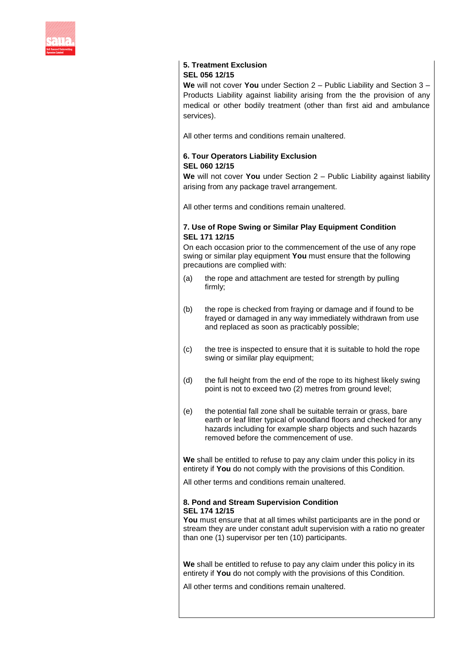

### **5. Treatment Exclusion SEL 056 12/15**

**We** will not cover **You** under Section 2 – Public Liability and Section 3 – Products Liability against liability arising from the the provision of any medical or other bodily treatment (other than first aid and ambulance services).

All other terms and conditions remain unaltered.

#### **6. Tour Operators Liability Exclusion SEL 060 12/15**

**We** will not cover **You** under Section 2 – Public Liability against liability arising from any package travel arrangement.

All other terms and conditions remain unaltered.

#### **7. Use of Rope Swing or Similar Play Equipment Condition SEL 171 12/15**

On each occasion prior to the commencement of the use of any rope swing or similar play equipment **You** must ensure that the following precautions are complied with:

- (a) the rope and attachment are tested for strength by pulling firmly;
- (b) the rope is checked from fraying or damage and if found to be frayed or damaged in any way immediately withdrawn from use and replaced as soon as practicably possible;
- (c) the tree is inspected to ensure that it is suitable to hold the rope swing or similar play equipment;
- (d) the full height from the end of the rope to its highest likely swing point is not to exceed two (2) metres from ground level;
- (e) the potential fall zone shall be suitable terrain or grass, bare earth or leaf litter typical of woodland floors and checked for any hazards including for example sharp objects and such hazards removed before the commencement of use.

**We** shall be entitled to refuse to pay any claim under this policy in its entirety if **You** do not comply with the provisions of this Condition.

All other terms and conditions remain unaltered.

#### **8. Pond and Stream Supervision Condition SEL 174 12/15**

**You** must ensure that at all times whilst participants are in the pond or stream they are under constant adult supervision with a ratio no greater than one (1) supervisor per ten (10) participants.

**We** shall be entitled to refuse to pay any claim under this policy in its entirety if **You** do not comply with the provisions of this Condition.

All other terms and conditions remain unaltered.